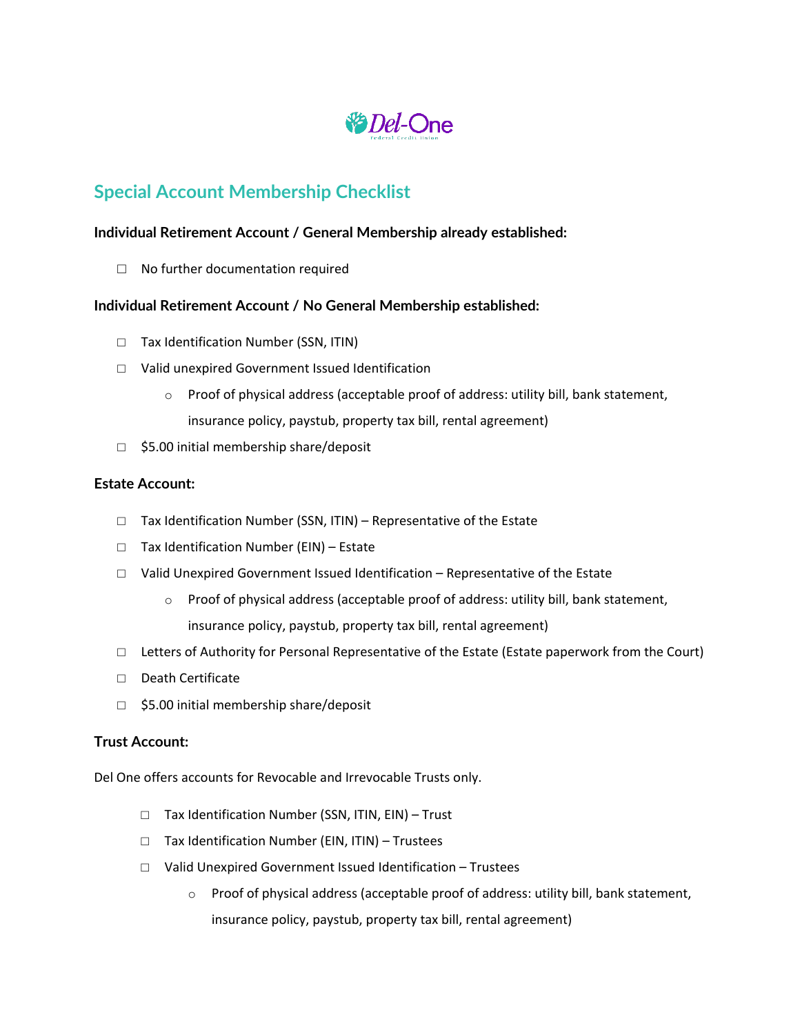

# **Special Account Membership Checklist**

## **Individual Retirement Account / General Membership already established:**

□ No further documentation required

### **Individual Retirement Account / No General Membership established:**

- □ Tax Identification Number (SSN, ITIN)
- □ Valid unexpired Government Issued Identification
	- $\circ$  Proof of physical address (acceptable proof of address: utility bill, bank statement, insurance policy, paystub, property tax bill, rental agreement)
- □ \$5.00 initial membership share/deposit

#### **Estate Account:**

- $\Box$  Tax Identification Number (SSN, ITIN) Representative of the Estate
- □ Tax Identification Number (EIN) Estate
- $\Box$  Valid Unexpired Government Issued Identification Representative of the Estate
	- $\circ$  Proof of physical address (acceptable proof of address: utility bill, bank statement, insurance policy, paystub, property tax bill, rental agreement)
- $\Box$  Letters of Authority for Personal Representative of the Estate (Estate paperwork from the Court)
- □ Death Certificate
- □ \$5.00 initial membership share/deposit

#### **Trust Account:**

Del One offers accounts for Revocable and Irrevocable Trusts only.

- □ Tax Identification Number (SSN, ITIN, EIN) Trust
- □ Tax Identification Number (EIN, ITIN) Trustees
- □ Valid Unexpired Government Issued Identification Trustees
	- $\circ$  Proof of physical address (acceptable proof of address: utility bill, bank statement, insurance policy, paystub, property tax bill, rental agreement)